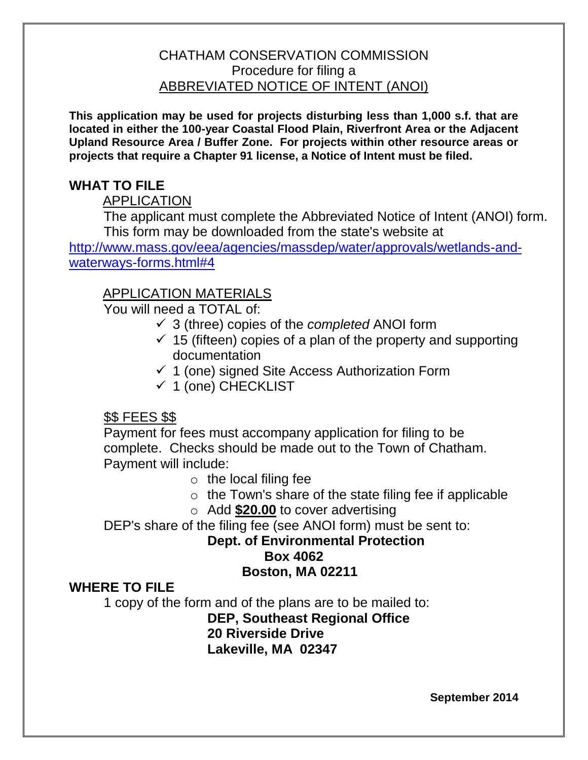## CHATHAM CONSERVATION COMMISSION Procedure for filing a ABBREVIATED NOTICE OF INTENT (ANOI)

**This application may be used for projects disturbing less than 1,000 s.f. that are located in either the 100-year Coastal Flood Plain, Riverfront Area or the Adjacent Upland Resource Area / Buffer Zone. For projects within other resource areas or projects that require a Chapter 91 license, a Notice of Intent must be filed.**

# **WHAT TO FILE**

## APPLICATION

The applicant must complete the Abbreviated Notice of Intent (ANOI) form. This form may be downloaded from the state's website at

[http://www.mass.gov/eea/agencies/massdep/water/approvals/wetlands-and](http://www.mass.gov/eea/agencies/massdep/water/approvals/wetlands-and-waterways-forms.html#4)[waterways-forms.html#4](http://www.mass.gov/eea/agencies/massdep/water/approvals/wetlands-and-waterways-forms.html#4) 

# APPLICATION MATERIALS

You will need a TOTAL of:

- 3 (three) copies of the *completed* ANOI form
- $\checkmark$  15 (fifteen) copies of a plan of the property and supporting documentation
- $\checkmark$  1 (one) signed Site Access Authorization Form
- $\checkmark$  1 (one) CHECKLIST

# \$\$ FEES \$\$

Payment for fees must accompany application for filing to be complete. Checks should be made out to the Town of Chatham. Payment will include:

- $\circ$  the local filing fee
- o the Town's share of the state filing fee if applicable
- o Add **\$20.00** to cover advertising

DEP's share of the filing fee (see ANOI form) must be sent to:

## **Dept. of Environmental Protection Box 4062 Boston, MA 02211**

# **WHERE TO FILE**

1 copy of the form and of the plans are to be mailed to:

**DEP, Southeast Regional Office 20 Riverside Drive Lakeville, MA 02347**

**September 2014**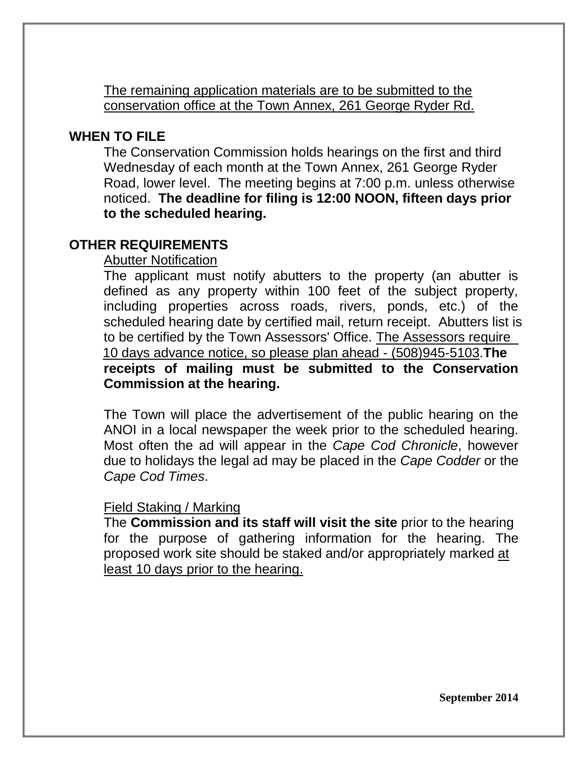The remaining application materials are to be submitted to the conservation office at the Town Annex, 261 George Ryder Rd.

## **WHEN TO FILE**

The Conservation Commission holds hearings on the first and third Wednesday of each month at the Town Annex, 261 George Ryder Road, lower level. The meeting begins at 7:00 p.m. unless otherwise noticed. **The deadline for filing is 12:00 NOON, fifteen days prior to the scheduled hearing.** 

# **OTHER REQUIREMENTS**

## Abutter Notification

The applicant must notify abutters to the property (an abutter is defined as any property within 100 feet of the subject property, including properties across roads, rivers, ponds, etc.) of the scheduled hearing date by certified mail, return receipt. Abutters list is to be certified by the Town Assessors' Office. The Assessors require 10 days advance notice, so please plan ahead - (508)945-5103.**The receipts of mailing must be submitted to the Conservation Commission at the hearing.**

The Town will place the advertisement of the public hearing on the ANOI in a local newspaper the week prior to the scheduled hearing. Most often the ad will appear in the *Cape Cod Chronicle*, however due to holidays the legal ad may be placed in the *Cape Codder* or the *Cape Cod Times*.

## Field Staking / Marking

The **Commission and its staff will visit the site** prior to the hearing for the purpose of gathering information for the hearing. The proposed work site should be staked and/or appropriately marked at least 10 days prior to the hearing.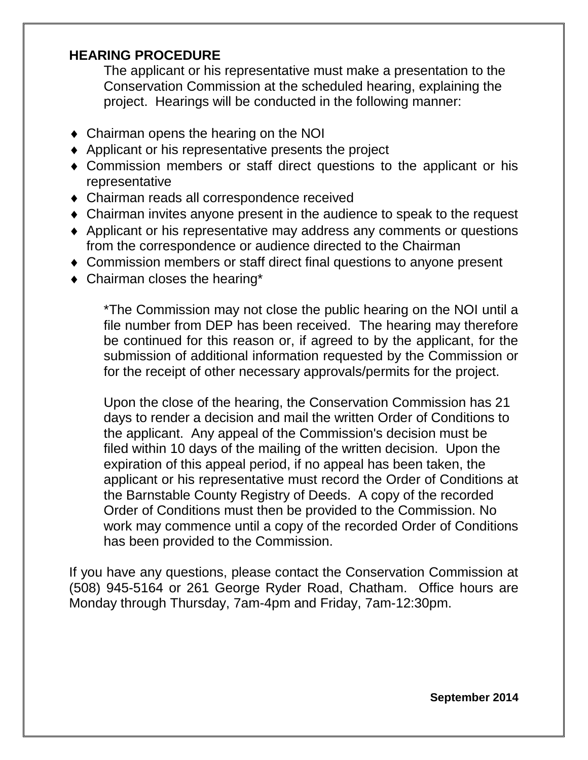# **HEARING PROCEDURE**

The applicant or his representative must make a presentation to the Conservation Commission at the scheduled hearing, explaining the project. Hearings will be conducted in the following manner:

- Chairman opens the hearing on the NOI
- ◆ Applicant or his representative presents the project
- Commission members or staff direct questions to the applicant or his representative
- Chairman reads all correspondence received
- Chairman invites anyone present in the audience to speak to the request
- Applicant or his representative may address any comments or questions from the correspondence or audience directed to the Chairman
- Commission members or staff direct final questions to anyone present
- Chairman closes the hearing\*

\*The Commission may not close the public hearing on the NOI until a file number from DEP has been received. The hearing may therefore be continued for this reason or, if agreed to by the applicant, for the submission of additional information requested by the Commission or for the receipt of other necessary approvals/permits for the project.

Upon the close of the hearing, the Conservation Commission has 21 days to render a decision and mail the written Order of Conditions to the applicant. Any appeal of the Commission's decision must be filed within 10 days of the mailing of the written decision. Upon the expiration of this appeal period, if no appeal has been taken, the applicant or his representative must record the Order of Conditions at the Barnstable County Registry of Deeds. A copy of the recorded Order of Conditions must then be provided to the Commission. No work may commence until a copy of the recorded Order of Conditions has been provided to the Commission.

If you have any questions, please contact the Conservation Commission at (508) 945-5164 or 261 George Ryder Road, Chatham. Office hours are Monday through Thursday, 7am-4pm and Friday, 7am-12:30pm.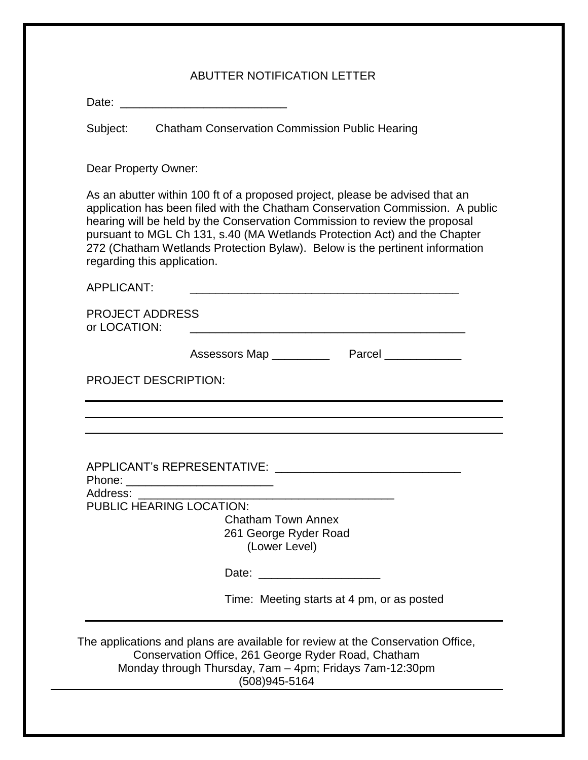#### ABUTTER NOTIFICATION LETTER

| Date: |
|-------|
|-------|

Subject: Chatham Conservation Commission Public Hearing

Dear Property Owner:

As an abutter within 100 ft of a proposed project, please be advised that an application has been filed with the Chatham Conservation Commission. A public hearing will be held by the Conservation Commission to review the proposal pursuant to MGL Ch 131, s.40 (MA Wetlands Protection Act) and the Chapter 272 (Chatham Wetlands Protection Bylaw). Below is the pertinent information regarding this application.

APPLICANT: \_\_\_\_\_\_\_\_\_\_\_\_\_\_\_\_\_\_\_\_\_\_\_\_\_\_\_\_\_\_\_\_\_\_\_\_\_\_\_\_\_\_

PROJECT ADDRESS or LOCATION:  $\blacksquare$ 

| Assessors Map | Parcel |
|---------------|--------|
|---------------|--------|

PROJECT DESCRIPTION:

APPLICANT's REPRESENTATIVE:

Phone: \_\_\_\_\_\_\_\_\_\_\_\_\_\_\_\_\_\_\_\_\_\_\_

Address: \_\_\_\_\_\_\_\_\_\_\_\_\_\_\_\_\_\_\_\_\_\_\_\_\_\_\_\_\_\_\_\_\_\_\_\_\_\_\_\_

PUBLIC HEARING LOCATION:

Chatham Town Annex 261 George Ryder Road (Lower Level)

Date: \_\_\_\_\_\_\_\_\_\_\_\_\_\_\_\_\_\_\_

Time: Meeting starts at 4 pm, or as posted

The applications and plans are available for review at the Conservation Office, Conservation Office, 261 George Ryder Road, Chatham Monday through Thursday, 7am – 4pm; Fridays 7am-12:30pm (508)945-5164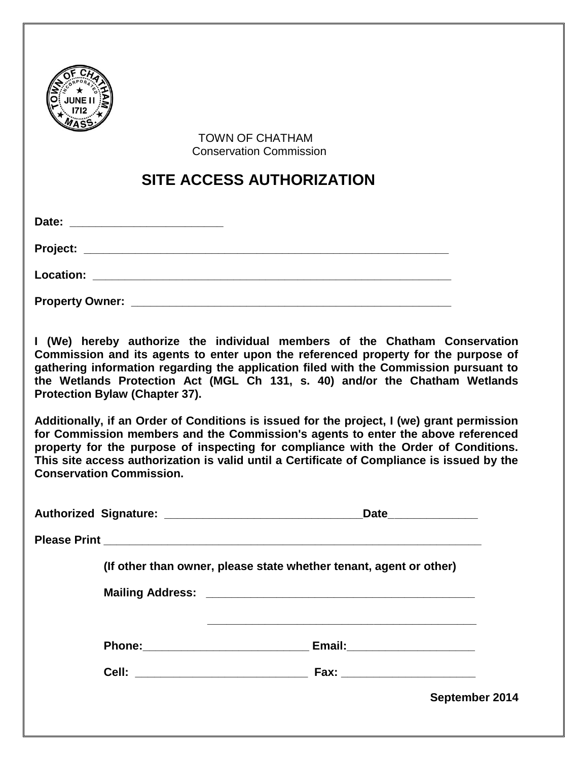

 TOWN OF CHATHAM Conservation Commission

# **SITE ACCESS AUTHORIZATION**

| Date:                  |  |
|------------------------|--|
|                        |  |
| Location: Location:    |  |
| <b>Property Owner:</b> |  |

**I (We) hereby authorize the individual members of the Chatham Conservation Commission and its agents to enter upon the referenced property for the purpose of gathering information regarding the application filed with the Commission pursuant to the Wetlands Protection Act (MGL Ch 131, s. 40) and/or the Chatham Wetlands Protection Bylaw (Chapter 37).** 

**Additionally, if an Order of Conditions is issued for the project, I (we) grant permission for Commission members and the Commission's agents to enter the above referenced property for the purpose of inspecting for compliance with the Order of Conditions. This site access authorization is valid until a Certificate of Compliance is issued by the Conservation Commission.** 

|  | Date_________________                                              |  |
|--|--------------------------------------------------------------------|--|
|  |                                                                    |  |
|  | (If other than owner, please state whether tenant, agent or other) |  |
|  |                                                                    |  |
|  |                                                                    |  |
|  | Phone: Email: Email: 2014                                          |  |
|  |                                                                    |  |
|  | September 2014                                                     |  |